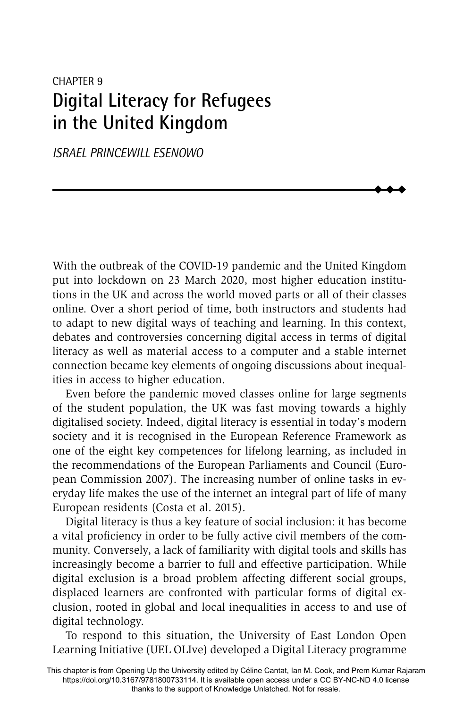# CHAPTER 9 **Digital Literacy for Refugees in the United Kingdom**

*ISRAEL PRINCEWILL ESENOWO*

With the outbreak of the COVID-19 pandemic and the United Kingdom put into lockdown on 23 March 2020, most higher education institutions in the UK and across the world moved parts or all of their classes online. Over a short period of time, both instructors and students had to adapt to new digital ways of teaching and learning. In this context, debates and controversies concerning digital access in terms of digital literacy as well as material access to a computer and a stable internet connection became key elements of ongoing discussions about inequalities in access to higher education.

 $\blacklozenge$  $\blacklozenge$  $\blacklozenge$ 

Even before the pandemic moved classes online for large segments of the student population, the UK was fast moving towards a highly digitalised society. Indeed, digital literacy is essential in today's modern society and it is recognised in the European Reference Framework as one of the eight key competences for lifelong learning, as included in the recommendations of the European Parliaments and Council (European Commission 2007). The increasing number of online tasks in everyday life makes the use of the internet an integral part of life of many European residents (Costa et al. 2015).

Digital literacy is thus a key feature of social inclusion: it has become a vital proficiency in order to be fully active civil members of the community. Conversely, a lack of familiarity with digital tools and skills has increasingly become a barrier to full and effective participation. While digital exclusion is a broad problem affecting different social groups, displaced learners are confronted with particular forms of digital exclusion, rooted in global and local inequalities in access to and use of digital technology.

To respond to this situation, the University of East London Open Learning Initiative (UEL OLIve) developed a Digital Literacy programme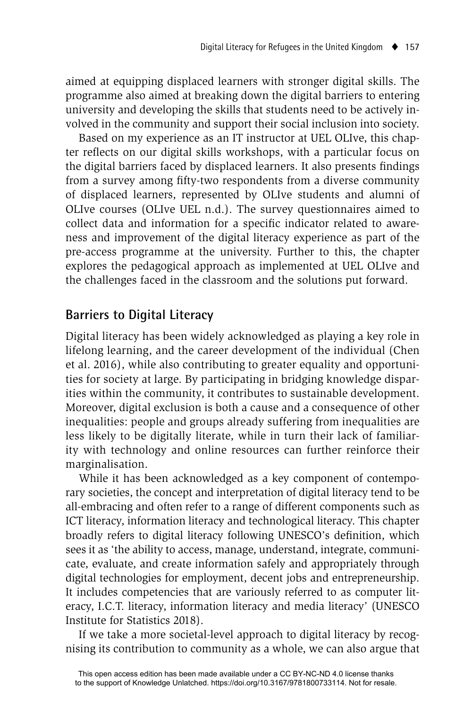aimed at equipping displaced learners with stronger digital skills. The programme also aimed at breaking down the digital barriers to entering university and developing the skills that students need to be actively involved in the community and support their social inclusion into society.

Based on my experience as an IT instructor at UEL OLIve, this chapter reflects on our digital skills workshops, with a particular focus on the digital barriers faced by displaced learners. It also presents findings from a survey among fifty-two respondents from a diverse community of displaced learners, represented by OLIve students and alumni of OLIve courses (OLIve UEL n.d.). The survey questionnaires aimed to collect data and information for a specific indicator related to awareness and improvement of the digital literacy experience as part of the pre-access programme at the university. Further to this, the chapter explores the pedagogical approach as implemented at UEL OLIve and the challenges faced in the classroom and the solutions put forward.

## **Barriers to Digital Literacy**

Digital literacy has been widely acknowledged as playing a key role in lifelong learning, and the career development of the individual (Chen et al. 2016), while also contributing to greater equality and opportunities for society at large. By participating in bridging knowledge disparities within the community, it contributes to sustainable development. Moreover, digital exclusion is both a cause and a consequence of other inequalities: people and groups already suffering from inequalities are less likely to be digitally literate, while in turn their lack of familiarity with technology and online resources can further reinforce their marginalisation.

While it has been acknowledged as a key component of contemporary societies, the concept and interpretation of digital literacy tend to be all-embracing and often refer to a range of different components such as ICT literacy, information literacy and technological literacy. This chapter broadly refers to digital literacy following UNESCO's definition, which sees it as 'the ability to access, manage, understand, integrate, communicate, evaluate, and create information safely and appropriately through digital technologies for employment, decent jobs and entrepreneurship. It includes competencies that are variously referred to as computer literacy, I.C.T. literacy, information literacy and media literacy' (UNESCO Institute for Statistics 2018).

If we take a more societal-level approach to digital literacy by recognising its contribution to community as a whole, we can also argue that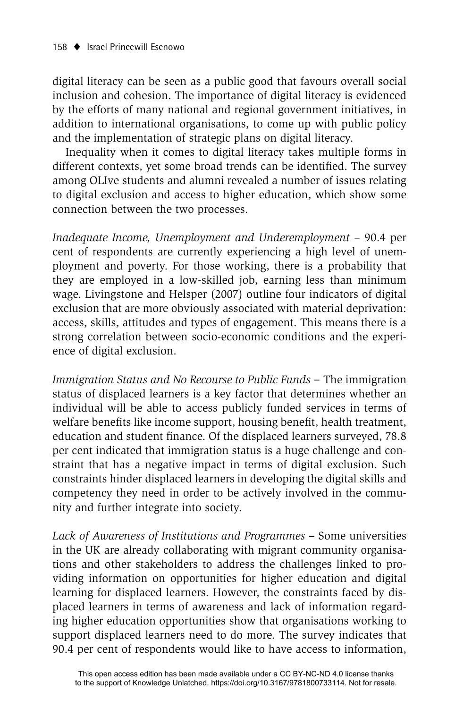digital literacy can be seen as a public good that favours overall social inclusion and cohesion. The importance of digital literacy is evidenced by the efforts of many national and regional government initiatives, in addition to international organisations, to come up with public policy and the implementation of strategic plans on digital literacy.

Inequality when it comes to digital literacy takes multiple forms in different contexts, yet some broad trends can be identified. The survey among OLIve students and alumni revealed a number of issues relating to digital exclusion and access to higher education, which show some connection between the two processes.

*Inadequate Income, Unemployment and Underemployment* – 90.4 per cent of respondents are currently experiencing a high level of unemployment and poverty. For those working, there is a probability that they are employed in a low-skilled job, earning less than minimum wage. Livingstone and Helsper (2007) outline four indicators of digital exclusion that are more obviously associated with material deprivation: access, skills, attitudes and types of engagement. This means there is a strong correlation between socio-economic conditions and the experience of digital exclusion.

*Immigration Status and No Recourse to Public Funds* – The immigration status of displaced learners is a key factor that determines whether an individual will be able to access publicly funded services in terms of welfare benefits like income support, housing benefit, health treatment, education and student finance. Of the displaced learners surveyed, 78.8 per cent indicated that immigration status is a huge challenge and constraint that has a negative impact in terms of digital exclusion. Such constraints hinder displaced learners in developing the digital skills and competency they need in order to be actively involved in the community and further integrate into society.

*Lack of Awareness of Institutions and Programmes –* Some universities in the UK are already collaborating with migrant community organisations and other stakeholders to address the challenges linked to providing information on opportunities for higher education and digital learning for displaced learners. However, the constraints faced by displaced learners in terms of awareness and lack of information regarding higher education opportunities show that organisations working to support displaced learners need to do more. The survey indicates that 90.4 per cent of respondents would like to have access to information,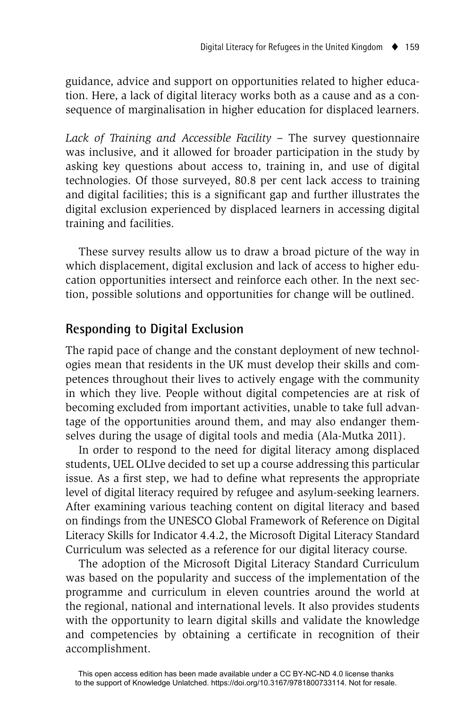guidance, advice and support on opportunities related to higher education. Here, a lack of digital literacy works both as a cause and as a consequence of marginalisation in higher education for displaced learners.

Lack of Training and Accessible Facility – The survey questionnaire was inclusive, and it allowed for broader participation in the study by asking key questions about access to, training in, and use of digital technologies. Of those surveyed, 80.8 per cent lack access to training and digital facilities; this is a significant gap and further illustrates the digital exclusion experienced by displaced learners in accessing digital training and facilities.

These survey results allow us to draw a broad picture of the way in which displacement, digital exclusion and lack of access to higher education opportunities intersect and reinforce each other. In the next section, possible solutions and opportunities for change will be outlined.

### **Responding to Digital Exclusion**

The rapid pace of change and the constant deployment of new technologies mean that residents in the UK must develop their skills and competences throughout their lives to actively engage with the community in which they live. People without digital competencies are at risk of becoming excluded from important activities, unable to take full advantage of the opportunities around them, and may also endanger themselves during the usage of digital tools and media (Ala-Mutka 2011).

In order to respond to the need for digital literacy among displaced students, UEL OLIve decided to set up a course addressing this particular issue. As a first step, we had to define what represents the appropriate level of digital literacy required by refugee and asylum-seeking learners. After examining various teaching content on digital literacy and based on findings from the UNESCO Global Framework of Reference on Digital Literacy Skills for Indicator 4.4.2, the Microsoft Digital Literacy Standard Curriculum was selected as a reference for our digital literacy course.

The adoption of the Microsoft Digital Literacy Standard Curriculum was based on the popularity and success of the implementation of the programme and curriculum in eleven countries around the world at the regional, national and international levels. It also provides students with the opportunity to learn digital skills and validate the knowledge and competencies by obtaining a certificate in recognition of their accomplishment.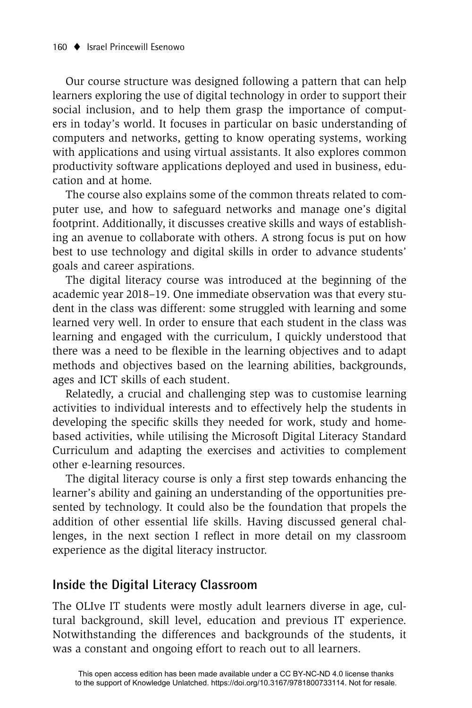Our course structure was designed following a pattern that can help learners exploring the use of digital technology in order to support their social inclusion, and to help them grasp the importance of computers in today's world. It focuses in particular on basic understanding of computers and networks, getting to know operating systems, working with applications and using virtual assistants. It also explores common productivity software applications deployed and used in business, education and at home.

The course also explains some of the common threats related to computer use, and how to safeguard networks and manage one's digital footprint. Additionally, it discusses creative skills and ways of establishing an avenue to collaborate with others. A strong focus is put on how best to use technology and digital skills in order to advance students' goals and career aspirations.

The digital literacy course was introduced at the beginning of the academic year 2018–19. One immediate observation was that every student in the class was different: some struggled with learning and some learned very well. In order to ensure that each student in the class was learning and engaged with the curriculum, I quickly understood that there was a need to be flexible in the learning objectives and to adapt methods and objectives based on the learning abilities, backgrounds, ages and ICT skills of each student.

Relatedly, a crucial and challenging step was to customise learning activities to individual interests and to effectively help the students in developing the specific skills they needed for work, study and homebased activities, while utilising the Microsoft Digital Literacy Standard Curriculum and adapting the exercises and activities to complement other e-learning resources.

The digital literacy course is only a first step towards enhancing the learner's ability and gaining an understanding of the opportunities presented by technology. It could also be the foundation that propels the addition of other essential life skills. Having discussed general challenges, in the next section I reflect in more detail on my classroom experience as the digital literacy instructor.

#### **Inside the Digital Literacy Classroom**

The OLIve IT students were mostly adult learners diverse in age, cultural background, skill level, education and previous IT experience. Notwithstanding the differences and backgrounds of the students, it was a constant and ongoing effort to reach out to all learners.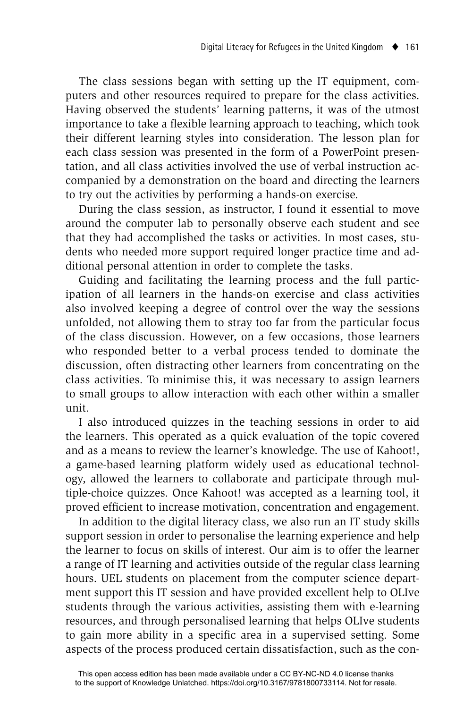The class sessions began with setting up the IT equipment, computers and other resources required to prepare for the class activities. Having observed the students' learning patterns, it was of the utmost importance to take a flexible learning approach to teaching, which took their different learning styles into consideration. The lesson plan for each class session was presented in the form of a PowerPoint presentation, and all class activities involved the use of verbal instruction accompanied by a demonstration on the board and directing the learners to try out the activities by performing a hands-on exercise.

During the class session, as instructor, I found it essential to move around the computer lab to personally observe each student and see that they had accomplished the tasks or activities. In most cases, students who needed more support required longer practice time and additional personal attention in order to complete the tasks.

Guiding and facilitating the learning process and the full participation of all learners in the hands-on exercise and class activities also involved keeping a degree of control over the way the sessions unfolded, not allowing them to stray too far from the particular focus of the class discussion. However, on a few occasions, those learners who responded better to a verbal process tended to dominate the discussion, often distracting other learners from concentrating on the class activities. To minimise this, it was necessary to assign learners to small groups to allow interaction with each other within a smaller unit.

I also introduced quizzes in the teaching sessions in order to aid the learners. This operated as a quick evaluation of the topic covered and as a means to review the learner's knowledge. The use of Kahoot!, a game-based learning platform widely used as educational technology, allowed the learners to collaborate and participate through multiple-choice quizzes. Once Kahoot! was accepted as a learning tool, it proved efficient to increase motivation, concentration and engagement.

In addition to the digital literacy class, we also run an IT study skills support session in order to personalise the learning experience and help the learner to focus on skills of interest. Our aim is to offer the learner a range of IT learning and activities outside of the regular class learning hours. UEL students on placement from the computer science department support this IT session and have provided excellent help to OLIve students through the various activities, assisting them with e-learning resources, and through personalised learning that helps OLIve students to gain more ability in a specific area in a supervised setting. Some aspects of the process produced certain dissatisfaction, such as the con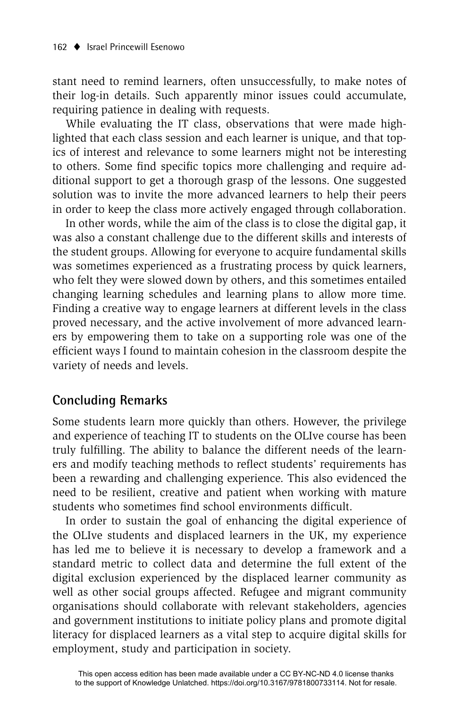stant need to remind learners, often unsuccessfully, to make notes of their log-in details. Such apparently minor issues could accumulate, requiring patience in dealing with requests.

While evaluating the IT class, observations that were made highlighted that each class session and each learner is unique, and that topics of interest and relevance to some learners might not be interesting to others. Some find specific topics more challenging and require additional support to get a thorough grasp of the lessons. One suggested solution was to invite the more advanced learners to help their peers in order to keep the class more actively engaged through collaboration.

In other words, while the aim of the class is to close the digital gap, it was also a constant challenge due to the different skills and interests of the student groups. Allowing for everyone to acquire fundamental skills was sometimes experienced as a frustrating process by quick learners, who felt they were slowed down by others, and this sometimes entailed changing learning schedules and learning plans to allow more time. Finding a creative way to engage learners at different levels in the class proved necessary, and the active involvement of more advanced learners by empowering them to take on a supporting role was one of the efficient ways I found to maintain cohesion in the classroom despite the variety of needs and levels.

## **Concluding Remarks**

Some students learn more quickly than others. However, the privilege and experience of teaching IT to students on the OLIve course has been truly fulfilling. The ability to balance the different needs of the learners and modify teaching methods to reflect students' requirements has been a rewarding and challenging experience. This also evidenced the need to be resilient, creative and patient when working with mature students who sometimes find school environments difficult.

In order to sustain the goal of enhancing the digital experience of the OLIve students and displaced learners in the UK, my experience has led me to believe it is necessary to develop a framework and a standard metric to collect data and determine the full extent of the digital exclusion experienced by the displaced learner community as well as other social groups affected. Refugee and migrant community organisations should collaborate with relevant stakeholders, agencies and government institutions to initiate policy plans and promote digital literacy for displaced learners as a vital step to acquire digital skills for employment, study and participation in society.